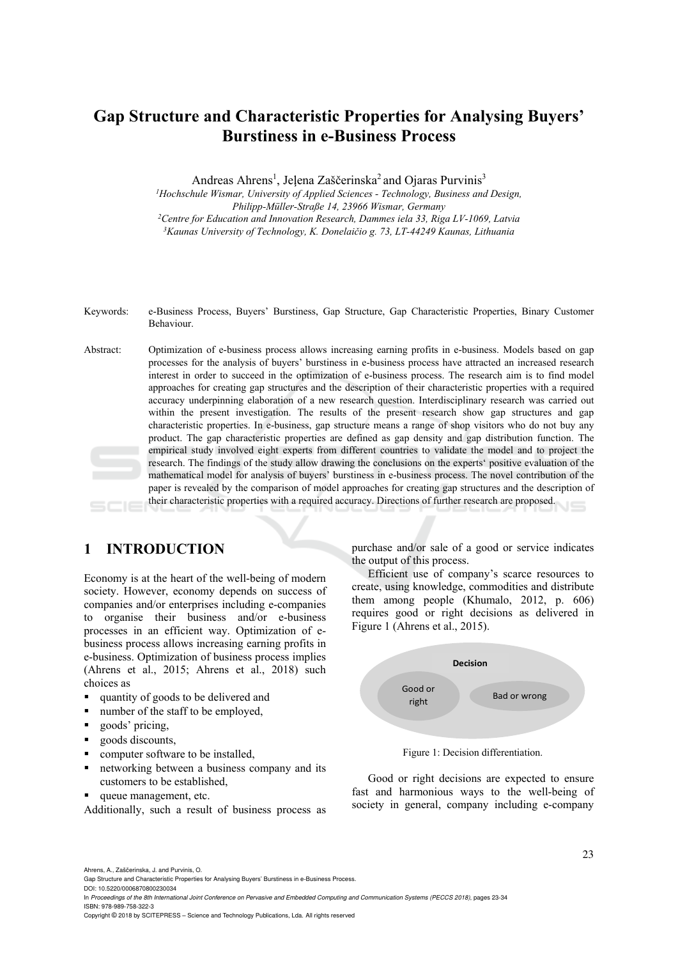# **Gap Structure and Characteristic Properties for Analysing Buyers' Burstiness in e-Business Process**

Andreas Ahrens<sup>1</sup>, Jeļena Zaščerinska<sup>2</sup> and Ojaras Purvinis<sup>3</sup>

<sup>1</sup> Hochschule Wismar, University of Applied Sciences - Technology, Business and Design, *Philipp-Müller-Straße 14, 23966 Wismar, Germany 2Centre for Education and Innovation Research, Dammes iela 33, Riga LV-1069, Latvia 3 Kaunas University of Technology, K. Donelaičio g. 73, LT-44249 Kaunas, Lithuania* 

- Keywords: e-Business Process, Buyers' Burstiness, Gap Structure, Gap Characteristic Properties, Binary Customer Behaviour.
- Abstract: Optimization of e-business process allows increasing earning profits in e-business. Models based on gap processes for the analysis of buyers' burstiness in e-business process have attracted an increased research interest in order to succeed in the optimization of e-business process. The research aim is to find model approaches for creating gap structures and the description of their characteristic properties with a required accuracy underpinning elaboration of a new research question. Interdisciplinary research was carried out within the present investigation. The results of the present research show gap structures and gap characteristic properties. In e-business, gap structure means a range of shop visitors who do not buy any product. The gap characteristic properties are defined as gap density and gap distribution function. The empirical study involved eight experts from different countries to validate the model and to project the research. The findings of the study allow drawing the conclusions on the experts' positive evaluation of the mathematical model for analysis of buyers' burstiness in e-business process. The novel contribution of the paper is revealed by the comparison of model approaches for creating gap structures and the description of their characteristic properties with a required accuracy. Directions of further research are proposed.

## **1 INTRODUCTION**

Economy is at the heart of the well-being of modern society. However, economy depends on success of companies and/or enterprises including e-companies to organise their business and/or e-business processes in an efficient way. Optimization of ebusiness process allows increasing earning profits in e-business. Optimization of business process implies (Ahrens et al., 2015; Ahrens et al., 2018) such choices as

- quantity of goods to be delivered and
- number of the staff to be employed,
- **goods'** pricing,
- goods discounts,
- computer software to be installed,
- networking between a business company and its customers to be established,
- queue management, etc.

Additionally, such a result of business process as

purchase and/or sale of a good or service indicates the output of this process.

Efficient use of company's scarce resources to create, using knowledge, commodities and distribute them among people (Khumalo, 2012, p. 606) requires good or right decisions as delivered in Figure 1 (Ahrens et al., 2015).



Figure 1: Decision differentiation.

Good or right decisions are expected to ensure fast and harmonious ways to the well-being of society in general, company including e-company

Ahrens, A., Zaščerinska, J. and Purvinis, O.

DOI: 10.5220/0006870800230034

In *Proceedings of the 8th International Joint Conference on Pervasive and Embedded Computing and Communication Systems (PECCS 2018)*, pages 23-34 ISBN: 978-989-758-322-3

Copyright © 2018 by SCITEPRESS – Science and Technology Publications, Lda. All rights reserved

Gap Structure and Characteristic Properties for Analysing Buyers' Burstiness in e-Business Process.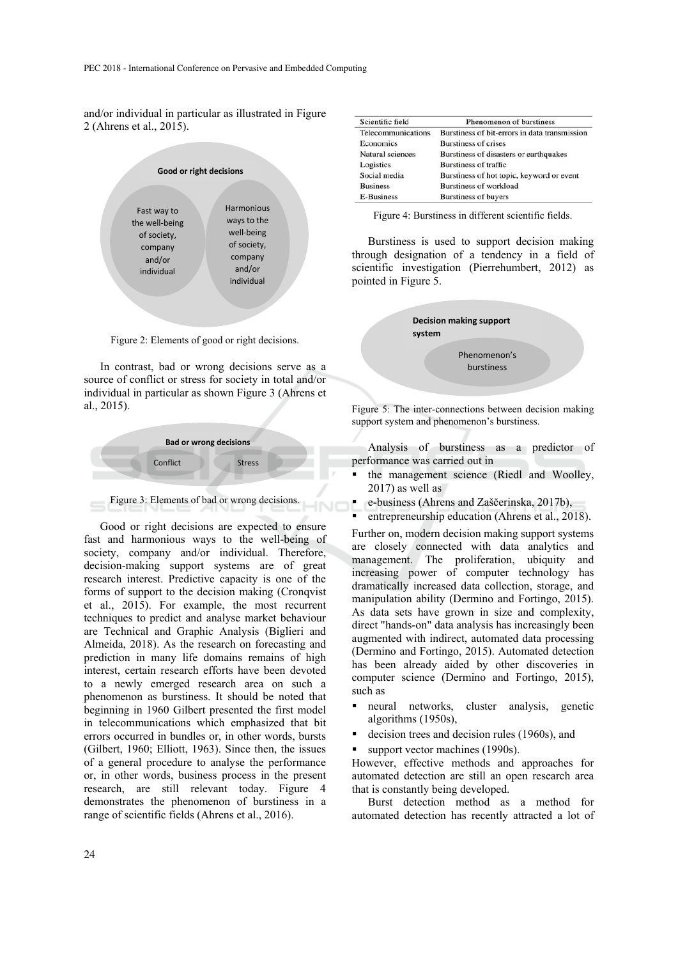and/or individual in particular as illustrated in Figure 2 (Ahrens et al., 2015).



Figure 2: Elements of good or right decisions.

In contrast, bad or wrong decisions serve as a source of conflict or stress for society in total and/or individual in particular as shown Figure 3 (Ahrens et al., 2015).





Good or right decisions are expected to ensure fast and harmonious ways to the well-being of society, company and/or individual. Therefore, decision-making support systems are of great research interest. Predictive capacity is one of the forms of support to the decision making (Cronqvist et al., 2015). For example, the most recurrent techniques to predict and analyse market behaviour are Technical and Graphic Analysis (Biglieri and Almeida, 2018). As the research on forecasting and prediction in many life domains remains of high interest, certain research efforts have been devoted to a newly emerged research area on such a phenomenon as burstiness. It should be noted that beginning in 1960 Gilbert presented the first model in telecommunications which emphasized that bit errors occurred in bundles or, in other words, bursts (Gilbert, 1960; Elliott, 1963). Since then, the issues of a general procedure to analyse the performance or, in other words, business process in the present research, are still relevant today. Figure 4 demonstrates the phenomenon of burstiness in a range of scientific fields (Ahrens et al., 2016).

| Scientific field   | Phenomenon of burstiness                      |
|--------------------|-----------------------------------------------|
| Telecommunications | Burstiness of bit-errors in data transmission |
| Economics          | Burstiness of crises                          |
| Natural sciences   | Burstiness of disasters or earthquakes        |
| Logistics          | <b>Burstiness of traffic</b>                  |
| Social media       | Burstiness of hot topic, keyword or event     |
| <b>Business</b>    | <b>Burstiness of workload</b>                 |
| <b>E-Business</b>  | <b>Burstiness of buyers</b>                   |

Figure 4: Burstiness in different scientific fields.

Burstiness is used to support decision making through designation of a tendency in a field of scientific investigation (Pierrehumbert, 2012) as pointed in Figure 5.



Figure 5: The inter-connections between decision making support system and phenomenon's burstiness.

Analysis of burstiness as a predictor of performance was carried out in

- the management science (Riedl and Woolley, 2017) as well as
- e-business (Ahrens and Zaščerinska, 2017b),
- entrepreneurship education (Ahrens et al., 2018).

Further on, modern decision making support systems are closely connected with data analytics and management. The proliferation, ubiquity and increasing power of computer technology has dramatically increased data collection, storage, and manipulation ability (Dermino and Fortingo, 2015). As data sets have grown in size and complexity, direct "hands-on" data analysis has increasingly been augmented with indirect, automated data processing (Dermino and Fortingo, 2015). Automated detection has been already aided by other discoveries in computer science (Dermino and Fortingo, 2015), such as

- neural networks, cluster analysis, genetic algorithms (1950s),
- decision trees and decision rules (1960s), and
- support vector machines (1990s).

However, effective methods and approaches for automated detection are still an open research area that is constantly being developed.

Burst detection method as a method for automated detection has recently attracted a lot of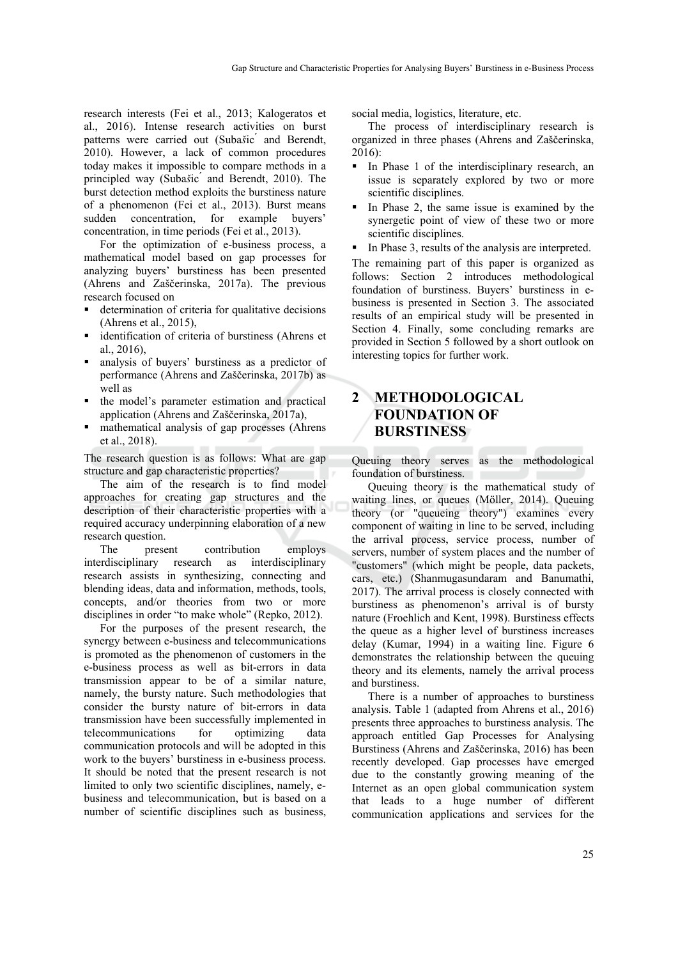research interests (Fei et al., 2013; Kalogeratos et al., 2016). Intense research activities on burst patterns were carried out (Subašic and Berendt, 2010). However, a lack of common procedures today makes it impossible to compare methods in a principled way (Suba*š*ic ́ and Berendt, 2010). The burst detection method exploits the burstiness nature of a phenomenon (Fei et al., 2013). Burst means sudden concentration, for example buyers' concentration, in time periods (Fei et al., 2013).

For the optimization of e-business process, a mathematical model based on gap processes for analyzing buyers' burstiness has been presented (Ahrens and Zaščerinska, 2017a). The previous research focused on

- determination of criteria for qualitative decisions (Ahrens et al., 2015),
- identification of criteria of burstiness (Ahrens et al., 2016),
- analysis of buyers' burstiness as a predictor of performance (Ahrens and Zaščerinska, 2017b) as well as
- the model's parameter estimation and practical application (Ahrens and Zaščerinska, 2017a),
- mathematical analysis of gap processes (Ahrens et al., 2018).

The research question is as follows: What are gap structure and gap characteristic properties?

The aim of the research is to find model approaches for creating gap structures and the description of their characteristic properties with a required accuracy underpinning elaboration of a new research question.

The present contribution employs interdisciplinary research as interdisciplinary research assists in synthesizing, connecting and blending ideas, data and information, methods, tools, concepts, and/or theories from two or more disciplines in order "to make whole" (Repko, 2012).

For the purposes of the present research, the synergy between e-business and telecommunications is promoted as the phenomenon of customers in the e-business process as well as bit-errors in data transmission appear to be of a similar nature, namely, the bursty nature. Such methodologies that consider the bursty nature of bit-errors in data transmission have been successfully implemented in telecommunications for optimizing data communication protocols and will be adopted in this work to the buyers' burstiness in e-business process. It should be noted that the present research is not limited to only two scientific disciplines, namely, ebusiness and telecommunication, but is based on a number of scientific disciplines such as business,

social media, logistics, literature, etc.

The process of interdisciplinary research is organized in three phases (Ahrens and Zaščerinska, 2016):

- In Phase 1 of the interdisciplinary research, an issue is separately explored by two or more scientific disciplines.
- In Phase 2, the same issue is examined by the synergetic point of view of these two or more scientific disciplines.
- In Phase 3, results of the analysis are interpreted.

The remaining part of this paper is organized as follows: Section 2 introduces methodological foundation of burstiness. Buyers' burstiness in ebusiness is presented in Section 3. The associated results of an empirical study will be presented in Section 4. Finally, some concluding remarks are provided in Section 5 followed by a short outlook on interesting topics for further work.

## **2 METHODOLOGICAL FOUNDATION OF BURSTINESS**

Queuing theory serves as the methodological foundation of burstiness.

Queuing theory is the mathematical study of waiting lines, or queues (Möller, 2014). Queuing theory (or "queueing theory") examines every component of waiting in line to be served, including the arrival process, service process, number of servers, number of system places and the number of "customers" (which might be people, data packets, cars, etc.) (Shanmugasundaram and Banumathi, 2017). The arrival process is closely connected with burstiness as phenomenon's arrival is of bursty nature (Froehlich and Kent, 1998). Burstiness effects the queue as a higher level of burstiness increases delay (Kumar, 1994) in a waiting line. Figure 6 demonstrates the relationship between the queuing theory and its elements, namely the arrival process and burstiness.

There is a number of approaches to burstiness analysis. Table 1 (adapted from Ahrens et al., 2016) presents three approaches to burstiness analysis. The approach entitled Gap Processes for Analysing Burstiness (Ahrens and Zaščerinska, 2016) has been recently developed. Gap processes have emerged due to the constantly growing meaning of the Internet as an open global communication system that leads to a huge number of different communication applications and services for the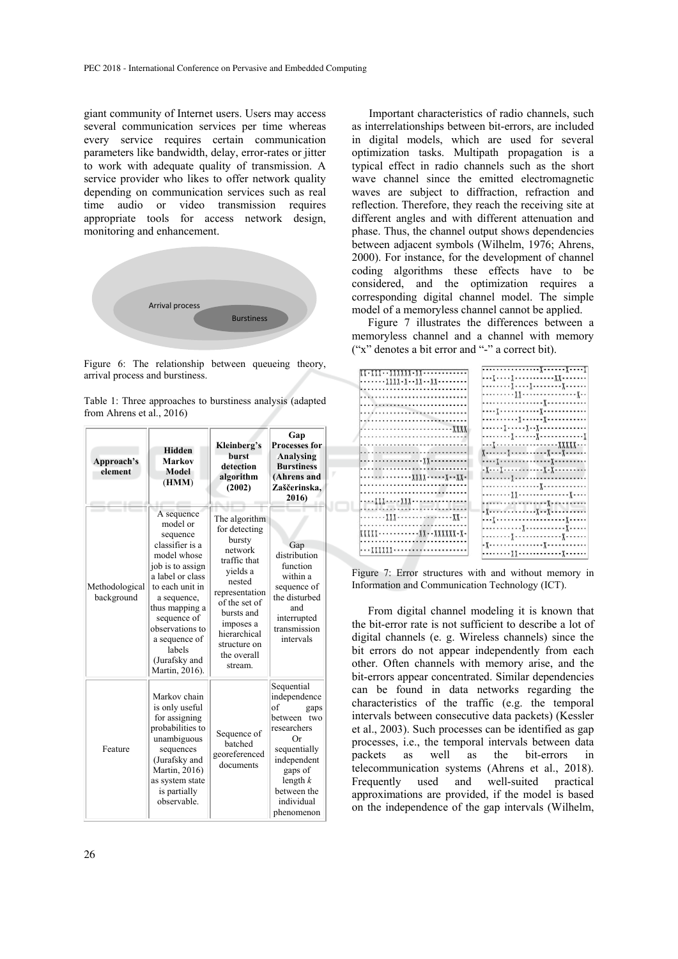giant community of Internet users. Users may access several communication services per time whereas every service requires certain communication parameters like bandwidth, delay, error-rates or jitter to work with adequate quality of transmission. A service provider who likes to offer network quality depending on communication services such as real time audio or video transmission requires appropriate tools for access network design, monitoring and enhancement.



Figure 6: The relationship between queueing theory, arrival process and burstiness.

| Table 1: Three approaches to burstiness analysis (adapted |  |  |
|-----------------------------------------------------------|--|--|
| from Ahrens et al., 2016)                                 |  |  |

| Approach's<br>element        | <b>Hidden</b><br><b>Markov</b><br>Model<br>(HMM)                                                                                                                                                                                                                 | Kleinberg's<br><b>burst</b><br>detection<br>algorithm<br>(2002)                                                                                                                                                   | Gap<br><b>Processes for</b><br>Analysing<br><b>Burstiness</b><br>(Ahrens and<br>Zaščerinska,<br>2016)                                                                           |  |  |  |
|------------------------------|------------------------------------------------------------------------------------------------------------------------------------------------------------------------------------------------------------------------------------------------------------------|-------------------------------------------------------------------------------------------------------------------------------------------------------------------------------------------------------------------|---------------------------------------------------------------------------------------------------------------------------------------------------------------------------------|--|--|--|
| Methodological<br>background | A sequence<br>model or<br>sequence<br>classifier is a<br>model whose<br>job is to assign<br>a label or class<br>to each unit in<br>a sequence,<br>thus mapping a<br>sequence of<br>observations to<br>a sequence of<br>labels<br>(Jurafsky and<br>Martin, 2016). | The algorithm<br>for detecting<br>bursty<br>network<br>traffic that<br>vields a<br>nested<br>representation<br>of the set of<br>bursts and<br>imposes a<br>hierarchical<br>structure on<br>the overall<br>stream. | Gap<br>distribution<br>function<br>within a<br>sequence of<br>the disturbed<br>and<br>interrupted<br>transmission<br>intervals                                                  |  |  |  |
| Feature                      | Markov chain<br>is only useful<br>for assigning<br>probabilities to<br>unambiguous<br>sequences<br>(Jurafsky and<br>Martin, 2016)<br>as system state<br>is partially<br>observable.                                                                              | Sequence of<br>batched<br>georeferenced<br>documents                                                                                                                                                              | Sequential<br>independence<br>of<br>gaps<br>between two<br>researchers<br>Or<br>sequentially<br>independent<br>gaps of<br>length $k$<br>between the<br>individual<br>phenomenon |  |  |  |

Important characteristics of radio channels, such as interrelationships between bit-errors, are included in digital models, which are used for several optimization tasks. Multipath propagation is a typical effect in radio channels such as the short wave channel since the emitted electromagnetic waves are subject to diffraction, refraction and reflection. Therefore, they reach the receiving site at different angles and with different attenuation and phase. Thus, the channel output shows dependencies between adjacent symbols (Wilhelm, 1976; Ahrens, 2000). For instance, for the development of channel coding algorithms these effects have to be considered, and the optimization requires a corresponding digital channel model. The simple model of a memoryless channel cannot be applied.

Figure 7 illustrates the differences between a memoryless channel and a channel with memory ("x" denotes a bit error and "-" a correct bit).

| $\frac{1}{2}$                            |                              |
|------------------------------------------|------------------------------|
| --------XXXX-X--XX--XX--------           | . <u>ү</u> <u>ү</u> ү        |
|                                          | . <u>,</u> <u>,</u>          |
|                                          |                              |
|                                          |                              |
|                                          | . <u>1</u>                   |
| <i>.</i>                                 |                              |
|                                          | . J J                        |
|                                          | . <u>,</u> <u>,</u> <u>.</u> |
|                                          |                              |
|                                          |                              |
|                                          |                              |
|                                          |                              |
| . <u>. , ,</u>                           | . } }                        |
|                                          |                              |
| . X X X X X .                            |                              |
|                                          |                              |
|                                          |                              |
|                                          |                              |
|                                          |                              |
| ,,,,,,,,,,,,,,,,,,,,,,,,,,,,,            |                              |
| . <u>XXX</u> <u>. X</u>                  |                              |
|                                          |                              |
| <u> XXXXX--------------XX--XXXXXX-X-</u> |                              |
|                                          |                              |
|                                          | . <u>,</u> , <sub>.</sub>    |
| <u>\\\\\\\</u> .                         |                              |
|                                          |                              |

Figure 7: Error structures with and without memory in Information and Communication Technology (ICT).

From digital channel modeling it is known that the bit-error rate is not sufficient to describe a lot of digital channels (e. g. Wireless channels) since the bit errors do not appear independently from each other. Often channels with memory arise, and the bit-errors appear concentrated. Similar dependencies can be found in data networks regarding the characteristics of the traffic (e.g. the temporal intervals between consecutive data packets) (Kessler et al., 2003). Such processes can be identified as gap processes, i.e., the temporal intervals between data<br>packets as well as the bit-errors in as well as the bit-errors in telecommunication systems (Ahrens et al., 2018). Frequently used and well-suited practical approximations are provided, if the model is based on the independence of the gap intervals (Wilhelm,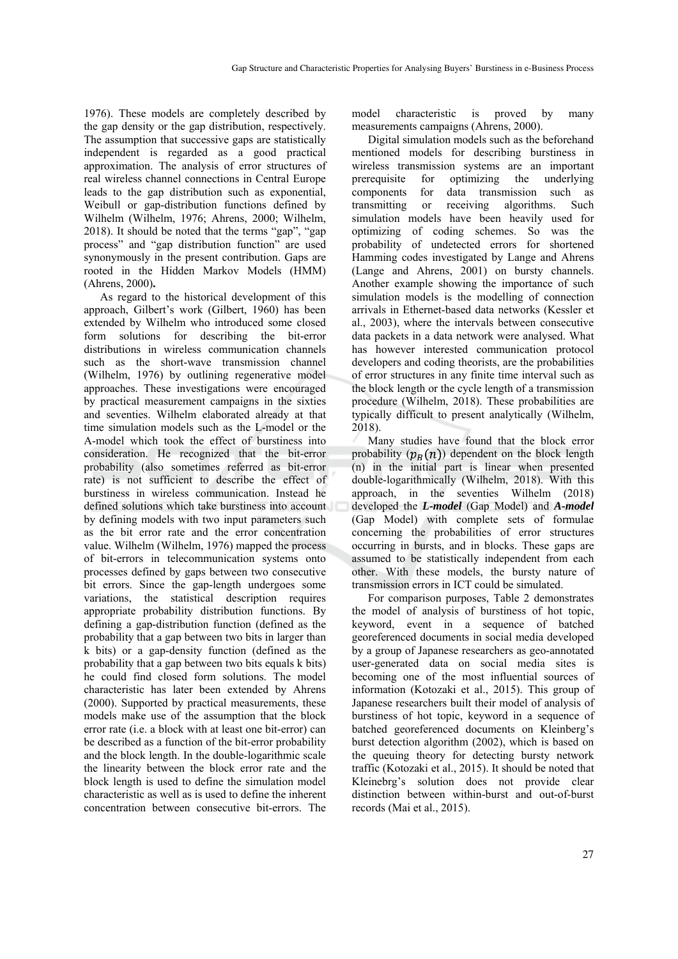1976). These models are completely described by the gap density or the gap distribution, respectively. The assumption that successive gaps are statistically independent is regarded as a good practical approximation. The analysis of error structures of real wireless channel connections in Central Europe leads to the gap distribution such as exponential, Weibull or gap-distribution functions defined by Wilhelm (Wilhelm, 1976; Ahrens, 2000; Wilhelm, 2018). It should be noted that the terms "gap", "gap process" and "gap distribution function" are used synonymously in the present contribution. Gaps are rooted in the Hidden Markov Models (HMM) (Ahrens, 2000)**.**

As regard to the historical development of this approach, Gilbert's work (Gilbert, 1960) has been extended by Wilhelm who introduced some closed form solutions for describing the bit-error distributions in wireless communication channels such as the short-wave transmission channel (Wilhelm, 1976) by outlining regenerative model approaches. These investigations were encouraged by practical measurement campaigns in the sixties and seventies. Wilhelm elaborated already at that time simulation models such as the L-model or the A-model which took the effect of burstiness into consideration. He recognized that the bit-error probability (also sometimes referred as bit-error rate) is not sufficient to describe the effect of burstiness in wireless communication. Instead he defined solutions which take burstiness into account by defining models with two input parameters such as the bit error rate and the error concentration value. Wilhelm (Wilhelm, 1976) mapped the process of bit-errors in telecommunication systems onto processes defined by gaps between two consecutive bit errors. Since the gap-length undergoes some variations, the statistical description requires appropriate probability distribution functions. By defining a gap-distribution function (defined as the probability that a gap between two bits in larger than k bits) or a gap-density function (defined as the probability that a gap between two bits equals k bits) he could find closed form solutions. The model characteristic has later been extended by Ahrens (2000). Supported by practical measurements, these models make use of the assumption that the block error rate (i.e. a block with at least one bit-error) can be described as a function of the bit-error probability and the block length. In the double-logarithmic scale the linearity between the block error rate and the block length is used to define the simulation model characteristic as well as is used to define the inherent concentration between consecutive bit-errors. The

model characteristic is proved by many measurements campaigns (Ahrens, 2000).

Digital simulation models such as the beforehand mentioned models for describing burstiness in wireless transmission systems are an important prerequisite for optimizing the underlying components for data transmission such as transmitting or receiving algorithms. Such simulation models have been heavily used for optimizing of coding schemes. So was the probability of undetected errors for shortened Hamming codes investigated by Lange and Ahrens (Lange and Ahrens, 2001) on bursty channels. Another example showing the importance of such simulation models is the modelling of connection arrivals in Ethernet-based data networks (Kessler et al., 2003), where the intervals between consecutive data packets in a data network were analysed. What has however interested communication protocol developers and coding theorists, are the probabilities of error structures in any finite time interval such as the block length or the cycle length of a transmission procedure (Wilhelm, 2018). These probabilities are typically difficult to present analytically (Wilhelm, 2018).

Many studies have found that the block error probability  $(p_R(n))$  dependent on the block length (n) in the initial part is linear when presented double-logarithmically (Wilhelm, 2018). With this approach, in the seventies Wilhelm (2018) developed the *L-model* (Gap Model) and *A-model* (Gap Model) with complete sets of formulae concerning the probabilities of error structures occurring in bursts, and in blocks. These gaps are assumed to be statistically independent from each other. With these models, the bursty nature of transmission errors in ICT could be simulated.

For comparison purposes, Table 2 demonstrates the model of analysis of burstiness of hot topic, keyword, event in a sequence of batched georeferenced documents in social media developed by a group of Japanese researchers as geo-annotated user-generated data on social media sites is becoming one of the most influential sources of information (Kotozaki et al., 2015). This group of Japanese researchers built their model of analysis of burstiness of hot topic, keyword in a sequence of batched georeferenced documents on Kleinberg's burst detection algorithm (2002), which is based on the queuing theory for detecting bursty network traffic (Kotozaki et al., 2015). It should be noted that Kleinebrg's solution does not provide clear distinction between within-burst and out-of-burst records (Mai et al., 2015).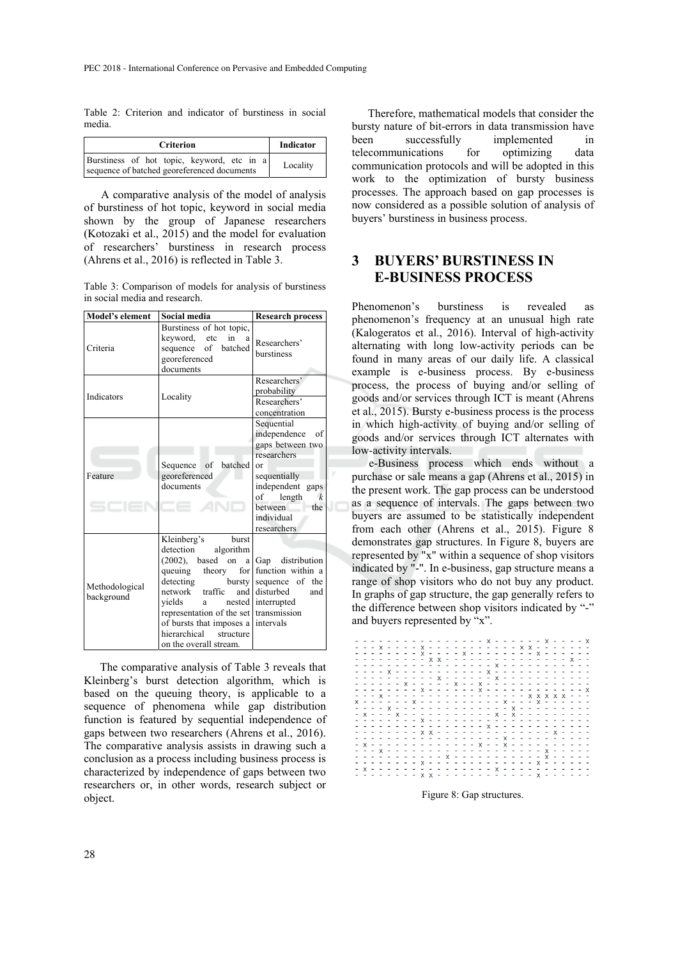Table 2: Criterion and indicator of burstiness in social media.

| <b>Criterion</b>                                                                          | <b>Indicator</b> |
|-------------------------------------------------------------------------------------------|------------------|
| Burstiness of hot topic, keyword, etc in a<br>sequence of batched georeferenced documents | Locality         |

A comparative analysis of the model of analysis of burstiness of hot topic, keyword in social media shown by the group of Japanese researchers (Kotozaki et al., 2015) and the model for evaluation of researchers' burstiness in research process (Ahrens et al., 2016) is reflected in Table 3.

Table 3: Comparison of models for analysis of burstiness in social media and research.

| Model's element              | Social media                                                                                                                                                                                                                                                                                                   | <b>Research process</b>                                                                                                                                                                                |  |
|------------------------------|----------------------------------------------------------------------------------------------------------------------------------------------------------------------------------------------------------------------------------------------------------------------------------------------------------------|--------------------------------------------------------------------------------------------------------------------------------------------------------------------------------------------------------|--|
| Criteria                     | Burstiness of hot topic,<br>kevword.<br>in<br>etc<br>a<br>batched<br>of<br>sequence<br>georeferenced<br>documents                                                                                                                                                                                              | Researchers'<br>burstiness                                                                                                                                                                             |  |
| Indicators                   | Locality                                                                                                                                                                                                                                                                                                       | Researchers'<br>probability<br>Researchers'<br>concentration                                                                                                                                           |  |
| Feature                      | batched<br>Sequence<br>of<br>georeferenced<br>documents                                                                                                                                                                                                                                                        | Sequential<br>independence<br>of<br>gaps between two<br>researchers<br>$\alpha$<br>sequentially<br>independent gaps<br>length<br>of<br>$\boldsymbol{k}$<br>hetween<br>the<br>individual<br>researchers |  |
| Methodological<br>background | Kleinberg's<br>burst<br>detection<br>algorithm<br>$(2002)$ ,<br>based on<br>a l<br>theory<br>queuing<br>detecting<br>bursty<br>traffic<br>network<br>and<br>vields<br>a<br>representation of the set transmission<br>of bursts that imposes a intervals<br>hierarchical<br>structure<br>on the overall stream. | Gap distribution<br>for function within a<br>sequence of the<br>disturbed<br>and<br>nested interrupted                                                                                                 |  |

The comparative analysis of Table 3 reveals that Kleinberg's burst detection algorithm, which is based on the queuing theory, is applicable to a sequence of phenomena while gap distribution function is featured by sequential independence of gaps between two researchers (Ahrens et al., 2016). The comparative analysis assists in drawing such a conclusion as a process including business process is characterized by independence of gaps between two researchers or, in other words, research subject or object.

Therefore, mathematical models that consider the bursty nature of bit-errors in data transmission have been successfully implemented in telecommunications for optimizing data communication protocols and will be adopted in this work to the optimization of bursty business processes. The approach based on gap processes is now considered as a possible solution of analysis of buyers' burstiness in business process.

## **3 BUYERS' BURSTINESS IN E-BUSINESS PROCESS**

Phenomenon's burstiness is revealed as phenomenon's frequency at an unusual high rate (Kalogeratos et al., 2016). Interval of high-activity alternating with long low-activity periods can be found in many areas of our daily life. A classical example is e-business process. By e-business process, the process of buying and/or selling of goods and/or services through ICT is meant (Ahrens et al., 2015). Bursty e-business process is the process in which high-activity of buying and/or selling of goods and/or services through ICT alternates with low-activity intervals.

e-Business process which ends without a purchase or sale means a gap (Ahrens et al., 2015) in the present work. The gap process can be understood as a sequence of intervals. The gaps between two buyers are assumed to be statistically independent from each other (Ahrens et al., 2015). Figure 8 demonstrates gap structures. In Figure 8, buyers are represented by "x" within a sequence of shop visitors indicated by "-". In e-business, gap structure means a range of shop visitors who do not buy any product. In graphs of gap structure, the gap generally refers to the difference between shop visitors indicated by "-" and buyers represented by "x".

|  |  |  | - - - - - - - - - - - - - - - - X - - - - - X - - - - - X |  |  |  |  |  |  |  |  |  |                                                                                                                                                                                                                                                                                                                                                                                                                                                                                                                                                                   |
|--|--|--|-----------------------------------------------------------|--|--|--|--|--|--|--|--|--|-------------------------------------------------------------------------------------------------------------------------------------------------------------------------------------------------------------------------------------------------------------------------------------------------------------------------------------------------------------------------------------------------------------------------------------------------------------------------------------------------------------------------------------------------------------------|
|  |  |  |                                                           |  |  |  |  |  |  |  |  |  |                                                                                                                                                                                                                                                                                                                                                                                                                                                                                                                                                                   |
|  |  |  |                                                           |  |  |  |  |  |  |  |  |  |                                                                                                                                                                                                                                                                                                                                                                                                                                                                                                                                                                   |
|  |  |  |                                                           |  |  |  |  |  |  |  |  |  |                                                                                                                                                                                                                                                                                                                                                                                                                                                                                                                                                                   |
|  |  |  |                                                           |  |  |  |  |  |  |  |  |  |                                                                                                                                                                                                                                                                                                                                                                                                                                                                                                                                                                   |
|  |  |  |                                                           |  |  |  |  |  |  |  |  |  |                                                                                                                                                                                                                                                                                                                                                                                                                                                                                                                                                                   |
|  |  |  |                                                           |  |  |  |  |  |  |  |  |  |                                                                                                                                                                                                                                                                                                                                                                                                                                                                                                                                                                   |
|  |  |  |                                                           |  |  |  |  |  |  |  |  |  |                                                                                                                                                                                                                                                                                                                                                                                                                                                                                                                                                                   |
|  |  |  |                                                           |  |  |  |  |  |  |  |  |  |                                                                                                                                                                                                                                                                                                                                                                                                                                                                                                                                                                   |
|  |  |  |                                                           |  |  |  |  |  |  |  |  |  |                                                                                                                                                                                                                                                                                                                                                                                                                                                                                                                                                                   |
|  |  |  |                                                           |  |  |  |  |  |  |  |  |  |                                                                                                                                                                                                                                                                                                                                                                                                                                                                                                                                                                   |
|  |  |  |                                                           |  |  |  |  |  |  |  |  |  |                                                                                                                                                                                                                                                                                                                                                                                                                                                                                                                                                                   |
|  |  |  |                                                           |  |  |  |  |  |  |  |  |  |                                                                                                                                                                                                                                                                                                                                                                                                                                                                                                                                                                   |
|  |  |  |                                                           |  |  |  |  |  |  |  |  |  |                                                                                                                                                                                                                                                                                                                                                                                                                                                                                                                                                                   |
|  |  |  |                                                           |  |  |  |  |  |  |  |  |  |                                                                                                                                                                                                                                                                                                                                                                                                                                                                                                                                                                   |
|  |  |  |                                                           |  |  |  |  |  |  |  |  |  |                                                                                                                                                                                                                                                                                                                                                                                                                                                                                                                                                                   |
|  |  |  |                                                           |  |  |  |  |  |  |  |  |  |                                                                                                                                                                                                                                                                                                                                                                                                                                                                                                                                                                   |
|  |  |  |                                                           |  |  |  |  |  |  |  |  |  |                                                                                                                                                                                                                                                                                                                                                                                                                                                                                                                                                                   |
|  |  |  |                                                           |  |  |  |  |  |  |  |  |  |                                                                                                                                                                                                                                                                                                                                                                                                                                                                                                                                                                   |
|  |  |  |                                                           |  |  |  |  |  |  |  |  |  |                                                                                                                                                                                                                                                                                                                                                                                                                                                                                                                                                                   |
|  |  |  |                                                           |  |  |  |  |  |  |  |  |  |                                                                                                                                                                                                                                                                                                                                                                                                                                                                                                                                                                   |
|  |  |  |                                                           |  |  |  |  |  |  |  |  |  |                                                                                                                                                                                                                                                                                                                                                                                                                                                                                                                                                                   |
|  |  |  |                                                           |  |  |  |  |  |  |  |  |  |                                                                                                                                                                                                                                                                                                                                                                                                                                                                                                                                                                   |
|  |  |  |                                                           |  |  |  |  |  |  |  |  |  |                                                                                                                                                                                                                                                                                                                                                                                                                                                                                                                                                                   |
|  |  |  |                                                           |  |  |  |  |  |  |  |  |  |                                                                                                                                                                                                                                                                                                                                                                                                                                                                                                                                                                   |
|  |  |  |                                                           |  |  |  |  |  |  |  |  |  |                                                                                                                                                                                                                                                                                                                                                                                                                                                                                                                                                                   |
|  |  |  |                                                           |  |  |  |  |  |  |  |  |  | - - - - - - - - - - - - - - - - - X - - - - - - - - - - -<br>- - - - x - - - - - - - - - - - x - - - - - - - - - - - -<br>- - - - - - - - - - x - - - - - - x - - - - - - - - - - -<br>x - - - - - - x - - - - - - - - - - x - - - x - - - - - -<br>- - - - X - - - - - - - - - - - - - - X - - - - - - - - -<br>- - - - - - - - - - - - - - - - x - - - - - - - - - - - -<br>- - - - - - - - - - - - - - - - - - X - - - - - - - - - -<br>- x - - - - - - - - - - - - - x - - x - - - - - - - - - -<br>- x - - - - - - - - - - - - - - - x - - - - - - - - - - - |

Figure 8: Gap structures.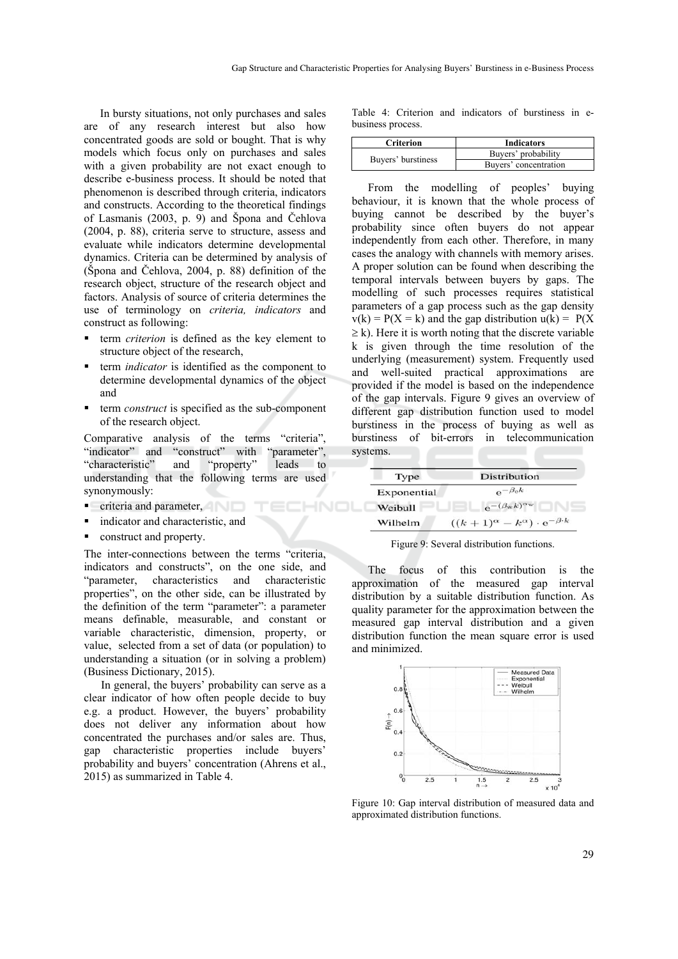In bursty situations, not only purchases and sales are of any research interest but also how concentrated goods are sold or bought. That is why models which focus only on purchases and sales with a given probability are not exact enough to describe e-business process. It should be noted that phenomenon is described through criteria, indicators and constructs. According to the theoretical findings of Lasmanis (2003, p. 9) and Špona and Čehlova (2004, p. 88), criteria serve to structure, assess and evaluate while indicators determine developmental dynamics. Criteria can be determined by analysis of (Špona and Čehlova, 2004, p. 88) definition of the research object, structure of the research object and factors. Analysis of source of criteria determines the use of terminology on *criteria, indicators* and construct as following:

- term *criterion* is defined as the key element to structure object of the research,
- term *indicator* is identified as the component to determine developmental dynamics of the object and
- term *construct* is specified as the sub-component of the research object.

Comparative analysis of the terms "criteria", "indicator" and "construct" with "parameter", "characteristic" and "property" leads to understanding that the following terms are used synonymously:

HNOL

TEI

- criteria and parameter,
- indicator and characteristic, and
- construct and property.

The inter-connections between the terms "criteria, indicators and constructs", on the one side, and "parameter, characteristics and characteristic properties", on the other side, can be illustrated by the definition of the term "parameter": a parameter means definable, measurable, and constant or variable characteristic, dimension, property, or value, selected from a set of data (or population) to understanding a situation (or in solving a problem) (Business Dictionary, 2015).

In general, the buyers' probability can serve as a clear indicator of how often people decide to buy e.g. a product. However, the buyers' probability does not deliver any information about how concentrated the purchases and/or sales are. Thus, gap characteristic properties include buyers' probability and buyers' concentration (Ahrens et al., 2015) as summarized in Table 4.

Table 4: Criterion and indicators of burstiness in ebusiness process.

| <b>Criterion</b>   | <b>Indicators</b>     |
|--------------------|-----------------------|
|                    | Buyers' probability   |
| Buyers' burstiness | Buvers' concentration |

From the modelling of peoples' buying behaviour, it is known that the whole process of buying cannot be described by the buyer's probability since often buyers do not appear independently from each other. Therefore, in many cases the analogy with channels with memory arises. A proper solution can be found when describing the temporal intervals between buyers by gaps. The modelling of such processes requires statistical parameters of a gap process such as the gap density  $v(k) = P(X = k)$  and the gap distribution  $u(k) = P(X$  $\geq$  k). Here it is worth noting that the discrete variable k is given through the time resolution of the underlying (measurement) system. Frequently used and well-suited practical approximations are provided if the model is based on the independence of the gap intervals. Figure 9 gives an overview of different gap distribution function used to model burstiness in the process of buying as well as burstiness of bit-errors in telecommunication systems.

| Type        | Distribution                                             |
|-------------|----------------------------------------------------------|
| Exponential | $e^{-\beta_{e}k}$                                        |
| Weibull     | $e^{-(\beta_{\rm w}k)^{\alpha_{\rm w}}}$                 |
| Wilhelm     | $((k+1)^{\alpha} - k^{\alpha}) \cdot e^{-\beta \cdot k}$ |

Figure 9: Several distribution functions.

The focus of this contribution is the approximation of the measured gap interval distribution by a suitable distribution function. As quality parameter for the approximation between the measured gap interval distribution and a given distribution function the mean square error is used and minimized.



Figure 10: Gap interval distribution of measured data and approximated distribution functions.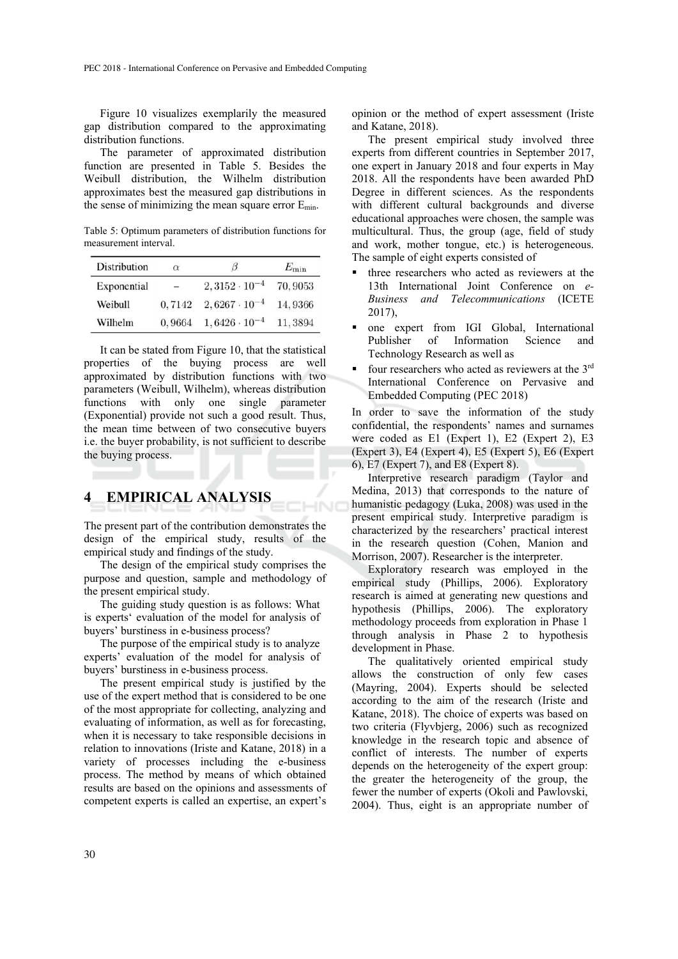Figure 10 visualizes exemplarily the measured gap distribution compared to the approximating distribution functions.

The parameter of approximated distribution function are presented in Table 5. Besides the Weibull distribution, the Wilhelm distribution approximates best the measured gap distributions in the sense of minimizing the mean square error Emin.

Table 5: Optimum parameters of distribution functions for measurement interval.

| Distribution | $\alpha$                 | IJ                     | $E_{\rm min}$ |
|--------------|--------------------------|------------------------|---------------|
| Exponential  | $\overline{\phantom{m}}$ | $2,3152 \cdot 10^{-4}$ | 70, 9053      |
| Weibull      | 0.7142                   | $2,6267 \cdot 10^{-4}$ | 14,9366       |
| Wilhelm      | 0.9664                   | $1,6426\cdot 10^{-4}$  | 11.3894       |

It can be stated from Figure 10, that the statistical properties of the buying process are well approximated by distribution functions with two parameters (Weibull, Wilhelm), whereas distribution functions with only one single parameter (Exponential) provide not such a good result. Thus, the mean time between of two consecutive buyers i.e. the buyer probability, is not sufficient to describe the buying process.

#### **4 EMPIRICAL ANALYSIS**

The present part of the contribution demonstrates the design of the empirical study, results of the empirical study and findings of the study.

INC

The design of the empirical study comprises the purpose and question, sample and methodology of the present empirical study.

The guiding study question is as follows: What is experts' evaluation of the model for analysis of buyers' burstiness in e-business process?

The purpose of the empirical study is to analyze experts' evaluation of the model for analysis of buyers' burstiness in e-business process.

The present empirical study is justified by the use of the expert method that is considered to be one of the most appropriate for collecting, analyzing and evaluating of information, as well as for forecasting, when it is necessary to take responsible decisions in relation to innovations (Iriste and Katane, 2018) in a variety of processes including the e-business process. The method by means of which obtained results are based on the opinions and assessments of competent experts is called an expertise, an expert's opinion or the method of expert assessment (Iriste and Katane, 2018).

The present empirical study involved three experts from different countries in September 2017, one expert in January 2018 and four experts in May 2018. All the respondents have been awarded PhD Degree in different sciences. As the respondents with different cultural backgrounds and diverse educational approaches were chosen, the sample was multicultural. Thus, the group (age, field of study and work, mother tongue, etc.) is heterogeneous. The sample of eight experts consisted of

- three researchers who acted as reviewers at the 13th International Joint Conference on *e-Business and Telecommunications* (ICETE 2017),
- one expert from IGI Global, International Publisher of Information Science and Technology Research as well as
- four researchers who acted as reviewers at the 3rd International Conference on Pervasive and Embedded Computing (PEC 2018)

In order to save the information of the study confidential, the respondents' names and surnames were coded as E1 (Expert 1), E2 (Expert 2), E3 (Expert 3), E4 (Expert 4), E5 (Expert 5), E6 (Expert 6), E7 (Expert 7), and E8 (Expert 8).

Interpretive research paradigm (Taylor and Medina, 2013) that corresponds to the nature of humanistic pedagogy (Luka, 2008) was used in the present empirical study. Interpretive paradigm is characterized by the researchers' practical interest in the research question (Cohen, Manion and Morrison, 2007). Researcher is the interpreter.

Exploratory research was employed in the empirical study (Phillips, 2006). Exploratory research is aimed at generating new questions and hypothesis (Phillips, 2006). The exploratory methodology proceeds from exploration in Phase 1 through analysis in Phase 2 to hypothesis development in Phase.

The qualitatively oriented empirical study allows the construction of only few cases (Mayring, 2004). Experts should be selected according to the aim of the research (Iriste and Katane, 2018). The choice of experts was based on two criteria (Flyvbjerg, 2006) such as recognized knowledge in the research topic and absence of conflict of interests. The number of experts depends on the heterogeneity of the expert group: the greater the heterogeneity of the group, the fewer the number of experts (Okoli and Pawlovski, 2004). Thus, eight is an appropriate number of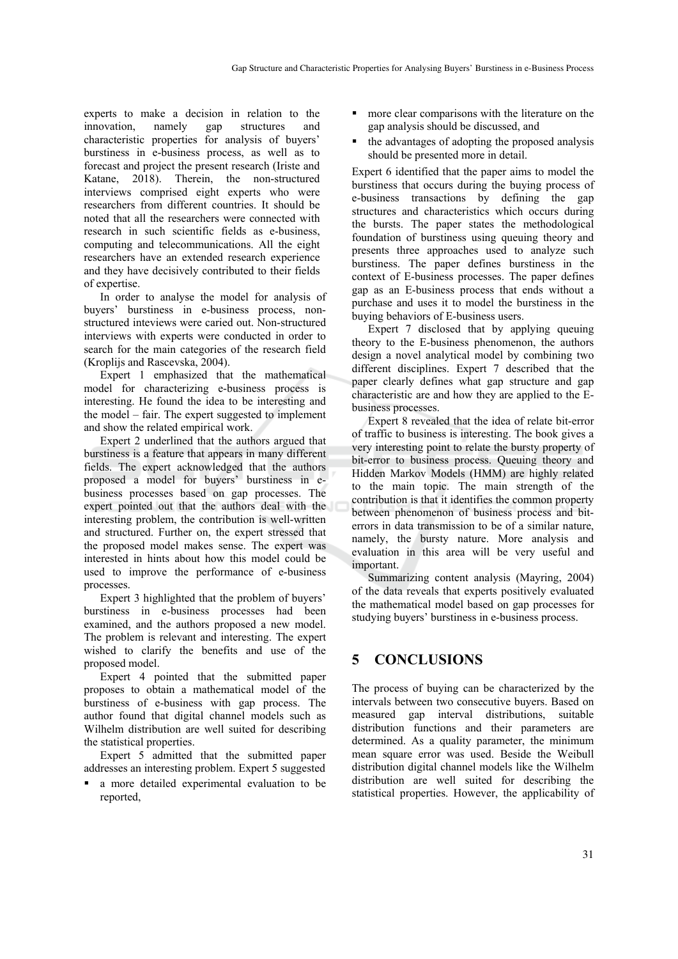experts to make a decision in relation to the innovation, namely gap structures and characteristic properties for analysis of buyers' burstiness in e-business process, as well as to forecast and project the present research (Iriste and Katane, 2018). Therein, the non-structured interviews comprised eight experts who were researchers from different countries. It should be noted that all the researchers were connected with research in such scientific fields as e-business, computing and telecommunications. All the eight researchers have an extended research experience and they have decisively contributed to their fields of expertise.

In order to analyse the model for analysis of buyers' burstiness in e-business process, nonstructured inteviews were caried out. Non-structured interviews with experts were conducted in order to search for the main categories of the research field (Kroplijs and Rascevska, 2004).

Expert 1 emphasized that the mathematical model for characterizing e-business process is interesting. He found the idea to be interesting and the model – fair. The expert suggested to implement and show the related empirical work.

Expert 2 underlined that the authors argued that burstiness is a feature that appears in many different fields. The expert acknowledged that the authors proposed a model for buyers' burstiness in ebusiness processes based on gap processes. The expert pointed out that the authors deal with the interesting problem, the contribution is well-written and structured. Further on, the expert stressed that the proposed model makes sense. The expert was interested in hints about how this model could be used to improve the performance of e-business processes.

Expert 3 highlighted that the problem of buyers' burstiness in e-business processes had been examined, and the authors proposed a new model. The problem is relevant and interesting. The expert wished to clarify the benefits and use of the proposed model.

Expert 4 pointed that the submitted paper proposes to obtain a mathematical model of the burstiness of e-business with gap process. The author found that digital channel models such as Wilhelm distribution are well suited for describing the statistical properties.

Expert 5 admitted that the submitted paper addresses an interesting problem. Expert 5 suggested

 a more detailed experimental evaluation to be reported,

- more clear comparisons with the literature on the gap analysis should be discussed, and
- the advantages of adopting the proposed analysis should be presented more in detail.

Expert 6 identified that the paper aims to model the burstiness that occurs during the buying process of e-business transactions by defining the gap structures and characteristics which occurs during the bursts. The paper states the methodological foundation of burstiness using queuing theory and presents three approaches used to analyze such burstiness. The paper defines burstiness in the context of E-business processes. The paper defines gap as an E-business process that ends without a purchase and uses it to model the burstiness in the buying behaviors of E-business users.

Expert 7 disclosed that by applying queuing theory to the E-business phenomenon, the authors design a novel analytical model by combining two different disciplines. Expert 7 described that the paper clearly defines what gap structure and gap characteristic are and how they are applied to the Ebusiness processes.

Expert 8 revealed that the idea of relate bit-error of traffic to business is interesting. The book gives a very interesting point to relate the bursty property of bit-error to business process. Queuing theory and Hidden Markov Models (HMM) are highly related to the main topic. The main strength of the contribution is that it identifies the common property between phenomenon of business process and biterrors in data transmission to be of a similar nature, namely, the bursty nature. More analysis and evaluation in this area will be very useful and important.

Summarizing content analysis (Mayring, 2004) of the data reveals that experts positively evaluated the mathematical model based on gap processes for studying buyers' burstiness in e-business process.

## **5 CONCLUSIONS**

The process of buying can be characterized by the intervals between two consecutive buyers. Based on measured gap interval distributions, suitable distribution functions and their parameters are determined. As a quality parameter, the minimum mean square error was used. Beside the Weibull distribution digital channel models like the Wilhelm distribution are well suited for describing the statistical properties. However, the applicability of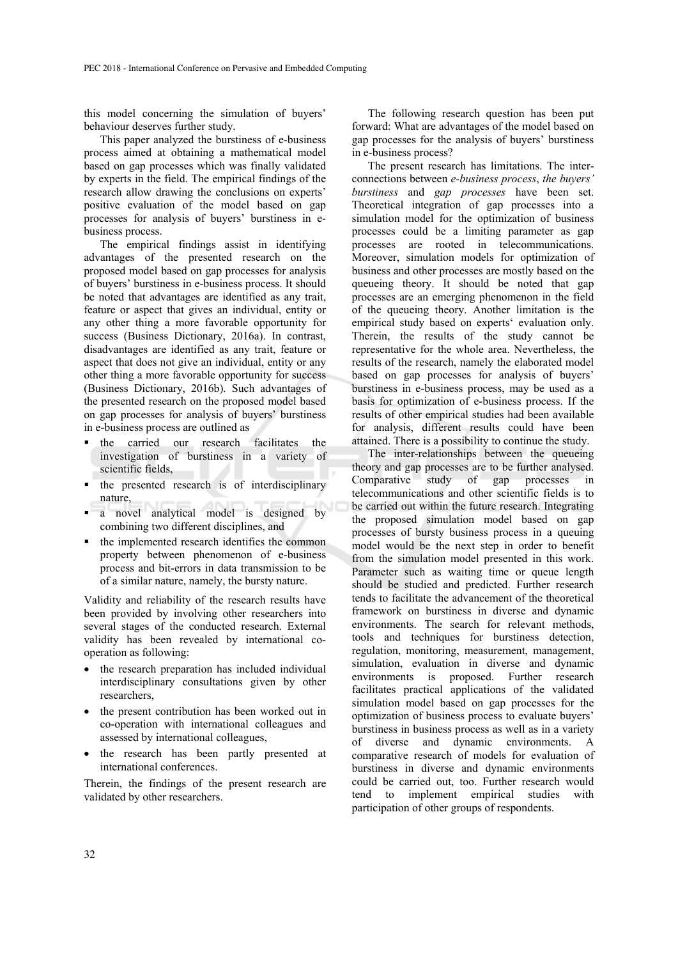this model concerning the simulation of buyers' behaviour deserves further study.

This paper analyzed the burstiness of e-business process aimed at obtaining a mathematical model based on gap processes which was finally validated by experts in the field. The empirical findings of the research allow drawing the conclusions on experts' positive evaluation of the model based on gap processes for analysis of buyers' burstiness in ebusiness process.

The empirical findings assist in identifying advantages of the presented research on the proposed model based on gap processes for analysis of buyers' burstiness in e-business process. It should be noted that advantages are identified as any trait, feature or aspect that gives an individual, entity or any other thing a more favorable opportunity for success (Business Dictionary, 2016a). In contrast, disadvantages are identified as any trait, feature or aspect that does not give an individual, entity or any other thing a more favorable opportunity for success (Business Dictionary, 2016b). Such advantages of the presented research on the proposed model based on gap processes for analysis of buyers' burstiness in e-business process are outlined as

- the carried our research facilitates the investigation of burstiness in a variety of scientific fields,
- the presented research is of interdisciplinary nature,
- a novel analytical model is designed by combining two different disciplines, and
- the implemented research identifies the common property between phenomenon of e-business process and bit-errors in data transmission to be of a similar nature, namely, the bursty nature.

Validity and reliability of the research results have been provided by involving other researchers into several stages of the conducted research. External validity has been revealed by international cooperation as following:

- the research preparation has included individual interdisciplinary consultations given by other researchers,
- the present contribution has been worked out in co-operation with international colleagues and assessed by international colleagues,
- the research has been partly presented at international conferences.

Therein, the findings of the present research are validated by other researchers.

The following research question has been put forward: What are advantages of the model based on gap processes for the analysis of buyers' burstiness in e-business process?

The present research has limitations. The interconnections between *e-business process*, *the buyers' burstiness* and *gap processes* have been set. Theoretical integration of gap processes into a simulation model for the optimization of business processes could be a limiting parameter as gap processes are rooted in telecommunications. Moreover, simulation models for optimization of business and other processes are mostly based on the queueing theory. It should be noted that gap processes are an emerging phenomenon in the field of the queueing theory. Another limitation is the empirical study based on experts' evaluation only. Therein, the results of the study cannot be representative for the whole area. Nevertheless, the results of the research, namely the elaborated model based on gap processes for analysis of buyers' burstiness in e-business process, may be used as a basis for optimization of e-business process. If the results of other empirical studies had been available for analysis, different results could have been attained. There is a possibility to continue the study.

The inter-relationships between the queueing theory and gap processes are to be further analysed. Comparative study of gap processes in telecommunications and other scientific fields is to be carried out within the future research. Integrating the proposed simulation model based on gap processes of bursty business process in a queuing model would be the next step in order to benefit from the simulation model presented in this work. Parameter such as waiting time or queue length should be studied and predicted. Further research tends to facilitate the advancement of the theoretical framework on burstiness in diverse and dynamic environments. The search for relevant methods, tools and techniques for burstiness detection, regulation, monitoring, measurement, management, simulation, evaluation in diverse and dynamic environments is proposed. Further research facilitates practical applications of the validated simulation model based on gap processes for the optimization of business process to evaluate buyers' burstiness in business process as well as in a variety of diverse and dynamic environments. A comparative research of models for evaluation of burstiness in diverse and dynamic environments could be carried out, too. Further research would tend to implement empirical studies with participation of other groups of respondents.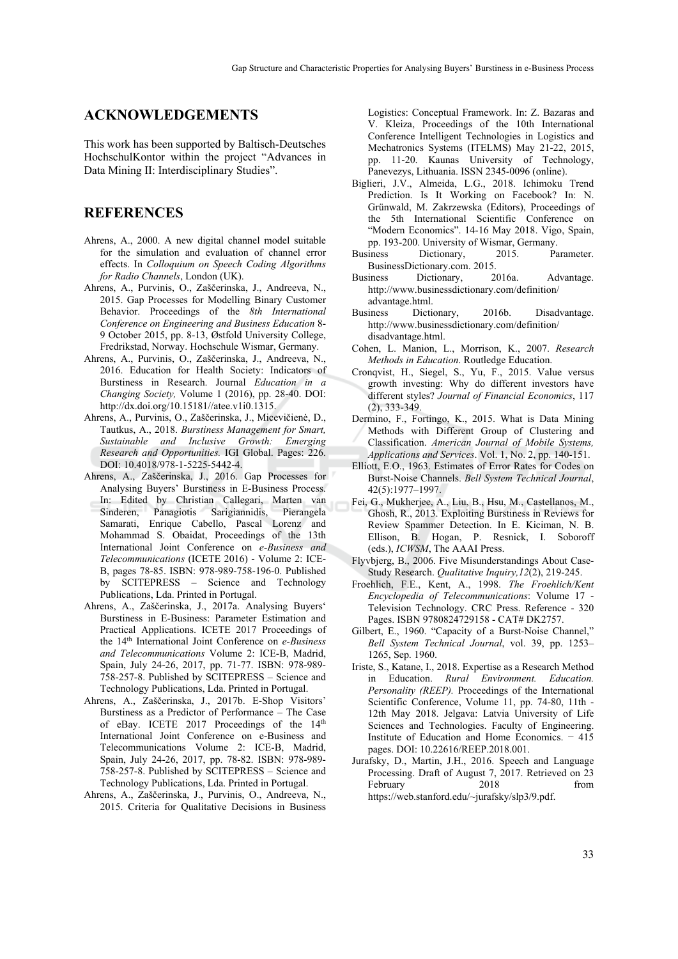#### **ACKNOWLEDGEMENTS**

This work has been supported by Baltisch-Deutsches HochschulKontor within the project "Advances in Data Mining II: Interdisciplinary Studies".

#### **REFERENCES**

- Ahrens, A., 2000. A new digital channel model suitable for the simulation and evaluation of channel error effects. In *Colloquium on Speech Coding Algorithms for Radio Channels*, London (UK).
- Ahrens, A., Purvinis, O., Zaščerinska, J., Andreeva, N., 2015. Gap Processes for Modelling Binary Customer Behavior. Proceedings of the *8th International Conference on Engineering and Business Education* 8- 9 October 2015, pp. 8-13, Østfold University College, Fredrikstad, Norway. Hochschule Wismar, Germany.
- Ahrens, A., Purvinis, O., Zaščerinska, J., Andreeva, N., 2016. Education for Health Society: Indicators of Burstiness in Research. Journal *Education in a Changing Society,* Volume 1 (2016), pp. 28-40. DOI: http://dx.doi.org/10.15181//atee.v1i0.1315.
- Ahrens, A., Purvinis, O., Zaščerinska, J., Micevičienė, D., Tautkus, A., 2018. *Burstiness Management for Smart, Sustainable and Inclusive Growth: Emerging Research and Opportunities.* IGI Global. Pages: 226. DOI: 10.4018/978-1-5225-5442-4.
- Ahrens, A., Zaščerinska, J., 2016. Gap Processes for Analysing Buyers' Burstiness in E-Business Process. In: Edited by Christian Callegari, Marten van Sinderen, Panagiotis Sarigiannidis, Pierangela Samarati, Enrique Cabello, Pascal Lorenz and Mohammad S. Obaidat, Proceedings of the 13th International Joint Conference on *e-Business and Telecommunications* (ICETE 2016) - Volume 2: ICE-B, pages 78-85. ISBN: 978-989-758-196-0. Published by SCITEPRESS – Science and Technology Publications, Lda. Printed in Portugal.
- Ahrens, A., Zaščerinska, J., 2017a. Analysing Buyers' Burstiness in E-Business: Parameter Estimation and Practical Applications. ICETE 2017 Proceedings of the 14th International Joint Conference on *e-Business and Telecommunications* Volume 2: ICE-B, Madrid, Spain, July 24-26, 2017, pp. 71-77. ISBN: 978-989- 758-257-8. Published by SCITEPRESS – Science and Technology Publications, Lda. Printed in Portugal.
- Ahrens, A., Zaščerinska, J., 2017b. E-Shop Visitors' Burstiness as a Predictor of Performance – The Case of eBay. ICETE 2017 Proceedings of the 14<sup>th</sup> International Joint Conference on e-Business and Telecommunications Volume 2: ICE-B, Madrid, Spain, July 24-26, 2017, pp. 78-82. ISBN: 978-989- 758-257-8. Published by SCITEPRESS – Science and Technology Publications, Lda. Printed in Portugal.
- Ahrens, A., Zaščerinska, J., Purvinis, O., Andreeva, N., 2015. Criteria for Qualitative Decisions in Business

Logistics: Conceptual Framework. In: Z. Bazaras and V. Kleiza, Proceedings of the 10th International Conference Intelligent Technologies in Logistics and Mechatronics Systems (ITELMS) May 21-22, 2015, pp. 11-20. Kaunas University of Technology, Panevezys, Lithuania. ISSN 2345-0096 (online).

- Biglieri, J.V., Almeida, L.G., 2018. Ichimoku Trend Prediction. Is It Working on Facebook? In: N. Grünwald, M. Zakrzewska (Editors), Proceedings of the 5th International Scientific Conference on "Modern Economics". 14-16 May 2018. Vigo, Spain, pp. 193-200. University of Wismar, Germany.
- Business Dictionary, 2015. Parameter. BusinessDictionary.com. 2015.
- Business Dictionary, 2016a. Advantage. http://www.businessdictionary.com/definition/ advantage.html.
- Business Dictionary, 2016b. Disadvantage. http://www.businessdictionary.com/definition/ disadvantage.html.
- Cohen, L. Manion, L., Morrison, K., 2007. *Research Methods in Education*. Routledge Education.
- Cronqvist, H., Siegel, S., Yu, F., 2015. Value versus growth investing: Why do different investors have different styles? *Journal of Financial Economics*, 117 (2), 333-349.
- Dermino, F., Fortingo, K., 2015. What is Data Mining Methods with Different Group of Clustering and Classification. *American Journal of Mobile Systems, Applications and Services*. Vol. 1, No. 2, pp. 140-151.
- Elliott, E.O., 1963. Estimates of Error Rates for Codes on Burst-Noise Channels. *Bell System Technical Journal*, 42(5):1977–1997.
- Fei, G., Mukherjee, A., Liu, B., Hsu, M., Castellanos, M., Ghosh, R., 2013. Exploiting Burstiness in Reviews for Review Spammer Detection. In E. Kiciman, N. B. Ellison, B. Hogan, P. Resnick, I. Soboroff (eds.), *ICWSM*, The AAAI Press.
- Flyvbjerg, B., 2006. Five Misunderstandings About Case-Study Research. *Qualitative Inquiry,12*(2), 219-245.
- Froehlich, F.E., Kent, A., 1998. *The Froehlich/Kent Encyclopedia of Telecommunications*: Volume 17 - Television Technology. CRC Press. Reference - 320 Pages. ISBN 9780824729158 - CAT# DK2757.
- Gilbert, E., 1960. "Capacity of a Burst-Noise Channel," *Bell System Technical Journal*, vol. 39, pp. 1253– 1265, Sep. 1960.
- Iriste, S., Katane, I., 2018. Expertise as a Research Method in Education. *Rural Environment. Education. Personality (REEP).* Proceedings of the International Scientific Conference, Volume 11, pp. 74-80, 11th - 12th May 2018. Jelgava: Latvia University of Life Sciences and Technologies. Faculty of Engineering. Institute of Education and Home Economics. − 415 pages. DOI: 10.22616/REEP.2018.001.
- Jurafsky, D., Martin, J.H., 2016. Speech and Language Processing. Draft of August 7, 2017. Retrieved on 23 February 2018 from https://web.stanford.edu/~jurafsky/slp3/9.pdf.